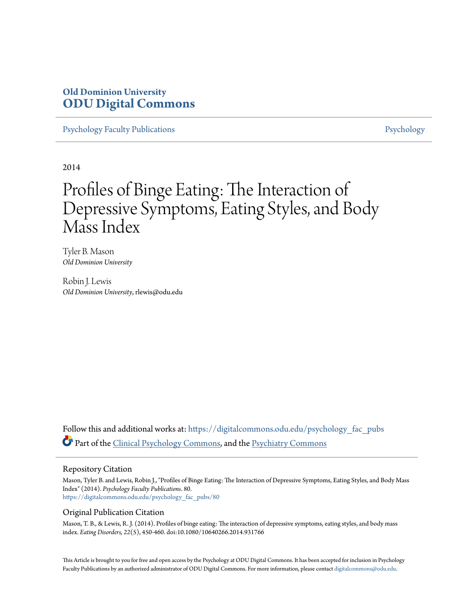# **Old Dominion University [ODU Digital Commons](https://digitalcommons.odu.edu?utm_source=digitalcommons.odu.edu%2Fpsychology_fac_pubs%2F80&utm_medium=PDF&utm_campaign=PDFCoverPages)**

[Psychology Faculty Publications](https://digitalcommons.odu.edu/psychology_fac_pubs?utm_source=digitalcommons.odu.edu%2Fpsychology_fac_pubs%2F80&utm_medium=PDF&utm_campaign=PDFCoverPages) **[Psychology](https://digitalcommons.odu.edu/psychology?utm_source=digitalcommons.odu.edu%2Fpsychology_fac_pubs%2F80&utm_medium=PDF&utm_campaign=PDFCoverPages)** Psychology

2014

# Profiles of Binge Eating: The Interaction of Depressive Symptoms, Eating Styles, and Body Mass Index

Tyler B. Mason *Old Dominion University*

Robin J. Lewis *Old Dominion University*, rlewis@odu.edu

Follow this and additional works at: [https://digitalcommons.odu.edu/psychology\\_fac\\_pubs](https://digitalcommons.odu.edu/psychology_fac_pubs?utm_source=digitalcommons.odu.edu%2Fpsychology_fac_pubs%2F80&utm_medium=PDF&utm_campaign=PDFCoverPages) Part of the [Clinical Psychology Commons,](http://network.bepress.com/hgg/discipline/406?utm_source=digitalcommons.odu.edu%2Fpsychology_fac_pubs%2F80&utm_medium=PDF&utm_campaign=PDFCoverPages) and the [Psychiatry Commons](http://network.bepress.com/hgg/discipline/704?utm_source=digitalcommons.odu.edu%2Fpsychology_fac_pubs%2F80&utm_medium=PDF&utm_campaign=PDFCoverPages)

# Repository Citation

Mason, Tyler B. and Lewis, Robin J., "Profiles of Binge Eating: The Interaction of Depressive Symptoms, Eating Styles, and Body Mass Index" (2014). *Psychology Faculty Publications*. 80. [https://digitalcommons.odu.edu/psychology\\_fac\\_pubs/80](https://digitalcommons.odu.edu/psychology_fac_pubs/80?utm_source=digitalcommons.odu.edu%2Fpsychology_fac_pubs%2F80&utm_medium=PDF&utm_campaign=PDFCoverPages)

# Original Publication Citation

Mason, T. B., & Lewis, R. J. (2014). Profiles of binge eating: The interaction of depressive symptoms, eating styles, and body mass index. *Eating Disorders, 22*(5), 450-460. doi:10.1080/10640266.2014.931766

This Article is brought to you for free and open access by the Psychology at ODU Digital Commons. It has been accepted for inclusion in Psychology Faculty Publications by an authorized administrator of ODU Digital Commons. For more information, please contact [digitalcommons@odu.edu.](mailto:digitalcommons@odu.edu)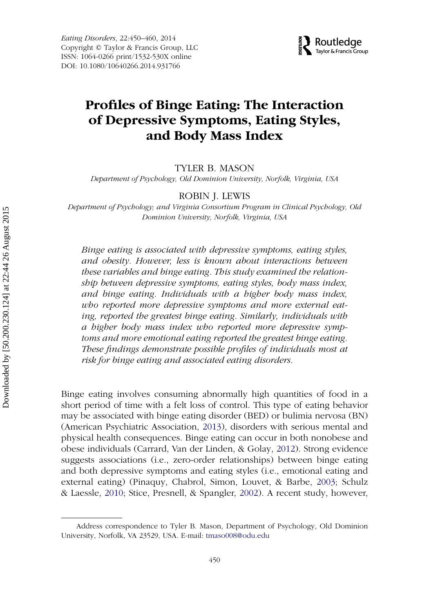

# **Profiles of Binge Eating: The Interaction of Depressive Symptoms, Eating Styles, and Body Mass Index**

# TYLER B. MASON

*Department of Psychology, Old Dominion University, Norfolk, Virginia, USA*

#### ROBIN J. LEWIS

*Department of Psychology; and Virginia Consortium Program in Clinical Psychology, Old Dominion University, Norfolk, Virginia, USA*

*Binge eating is associated with depressive symptoms, eating styles, and obesity. However, less is known about interactions between these variables and binge eating. This study examined the relationship between depressive symptoms, eating styles, body mass index, and binge eating. Individuals with a higher body mass index, who reported more depressive symptoms and more external eating, reported the greatest binge eating. Similarly, individuals with a higher body mass index who reported more depressive symptoms and more emotional eating reported the greatest binge eating. These findings demonstrate possible profiles of individuals most at risk for binge eating and associated eating disorders.*

Binge eating involves consuming abnormally high quantities of food in a short period of time with a felt loss of control. This type of eating behavior may be associated with binge eating disorder (BED) or bulimia nervosa (BN) (American Psychiatric Association, [2013\)](#page-9-0), disorders with serious mental and physical health consequences. Binge eating can occur in both nonobese and obese individuals (Carrard, Van der Linden, & Golay, [2012\)](#page-9-1). Strong evidence suggests associations (i.e., zero-order relationships) between binge eating and both depressive symptoms and eating styles (i.e., emotional eating and external eating) (Pinaquy, Chabrol, Simon, Louvet, & Barbe, [2003;](#page-10-0) Schulz & Laessle, [2010;](#page-10-1) Stice, Presnell, & Spangler, [2002\)](#page-10-2). A recent study, however,

Address correspondence to Tyler B. Mason, Department of Psychology, Old Dominion University, Norfolk, VA 23529, USA. E-mail: [tmaso008@odu.edu](mailto:tmaso008@odu.edu)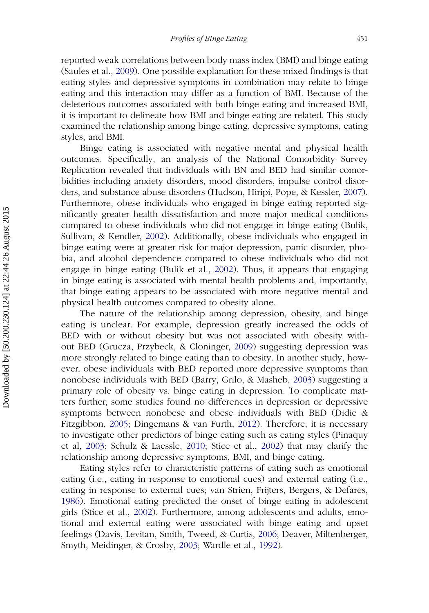reported weak correlations between body mass index (BMI) and binge eating (Saules et al., [2009\)](#page-10-3). One possible explanation for these mixed findings is that eating styles and depressive symptoms in combination may relate to binge eating and this interaction may differ as a function of BMI. Because of the deleterious outcomes associated with both binge eating and increased BMI, it is important to delineate how BMI and binge eating are related. This study examined the relationship among binge eating, depressive symptoms, eating styles, and BMI.

Binge eating is associated with negative mental and physical health outcomes. Specifically, an analysis of the National Comorbidity Survey Replication revealed that individuals with BN and BED had similar comorbidities including anxiety disorders, mood disorders, impulse control disorders, and substance abuse disorders (Hudson, Hiripi, Pope, & Kessler, [2007\)](#page-10-4). Furthermore, obese individuals who engaged in binge eating reported significantly greater health dissatisfaction and more major medical conditions compared to obese individuals who did not engage in binge eating (Bulik, Sullivan, & Kendler, [2002\)](#page-9-2). Additionally, obese individuals who engaged in binge eating were at greater risk for major depression, panic disorder, phobia, and alcohol dependence compared to obese individuals who did not engage in binge eating (Bulik et al., [2002\)](#page-9-2). Thus, it appears that engaging in binge eating is associated with mental health problems and, importantly, that binge eating appears to be associated with more negative mental and physical health outcomes compared to obesity alone.

The nature of the relationship among depression, obesity, and binge eating is unclear. For example, depression greatly increased the odds of BED with or without obesity but was not associated with obesity without BED (Grucza, Przybeck, & Cloninger, [2009\)](#page-10-5) suggesting depression was more strongly related to binge eating than to obesity. In another study, however, obese individuals with BED reported more depressive symptoms than nonobese individuals with BED (Barry, Grilo, & Masheb, [2003\)](#page-9-3) suggesting a primary role of obesity vs. binge eating in depression. To complicate matters further, some studies found no differences in depression or depressive symptoms between nonobese and obese individuals with BED (Didie & Fitzgibbon, [2005;](#page-10-6) Dingemans & van Furth, [2012\)](#page-10-7). Therefore, it is necessary to investigate other predictors of binge eating such as eating styles (Pinaquy et al, [2003;](#page-10-0) Schulz & Laessle, [2010;](#page-10-1) Stice et al., [2002\)](#page-10-2) that may clarify the relationship among depressive symptoms, BMI, and binge eating.

Eating styles refer to characteristic patterns of eating such as emotional eating (i.e., eating in response to emotional cues) and external eating (i.e., eating in response to external cues; van Strien, Frijters, Bergers, & Defares, [1986\)](#page-10-8). Emotional eating predicted the onset of binge eating in adolescent girls (Stice et al., [2002\)](#page-10-2). Furthermore, among adolescents and adults, emotional and external eating were associated with binge eating and upset feelings (Davis, Levitan, Smith, Tweed, & Curtis, [2006;](#page-9-4) Deaver, Miltenberger, Smyth, Meidinger, & Crosby, [2003;](#page-9-5) Wardle et al., [1992\)](#page-10-9).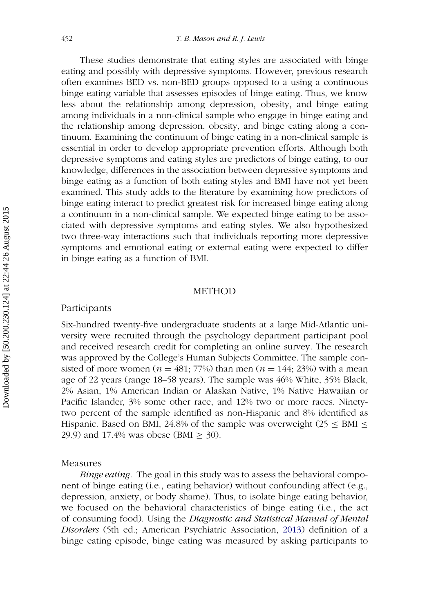These studies demonstrate that eating styles are associated with binge eating and possibly with depressive symptoms. However, previous research often examines BED vs. non-BED groups opposed to a using a continuous binge eating variable that assesses episodes of binge eating. Thus, we know less about the relationship among depression, obesity, and binge eating among individuals in a non-clinical sample who engage in binge eating and the relationship among depression, obesity, and binge eating along a continuum. Examining the continuum of binge eating in a non-clinical sample is essential in order to develop appropriate prevention efforts. Although both depressive symptoms and eating styles are predictors of binge eating, to our knowledge, differences in the association between depressive symptoms and binge eating as a function of both eating styles and BMI have not yet been examined. This study adds to the literature by examining how predictors of binge eating interact to predict greatest risk for increased binge eating along a continuum in a non-clinical sample. We expected binge eating to be associated with depressive symptoms and eating styles. We also hypothesized two three-way interactions such that individuals reporting more depressive symptoms and emotional eating or external eating were expected to differ in binge eating as a function of BMI.

## METHOD

#### Participants

Six-hundred twenty-five undergraduate students at a large Mid-Atlantic university were recruited through the psychology department participant pool and received research credit for completing an online survey. The research was approved by the College's Human Subjects Committee. The sample consisted of more women ( $n = 481$ ; 77%) than men ( $n = 144$ ; 23%) with a mean age of 22 years (range 18–58 years). The sample was 46% White, 35% Black, 2% Asian, 1% American Indian or Alaskan Native, 1% Native Hawaiian or Pacific Islander, 3% some other race, and 12% two or more races. Ninetytwo percent of the sample identified as non-Hispanic and 8% identified as Hispanic. Based on BMI, 24.8% of the sample was overweight ( $25 \leq BMI \leq$ 29.9) and 17.4% was obese (BMI  $\geq$  30).

#### Measures

*Binge eating.* The goal in this study was to assess the behavioral component of binge eating (i.e., eating behavior) without confounding affect (e.g., depression, anxiety, or body shame). Thus, to isolate binge eating behavior, we focused on the behavioral characteristics of binge eating (i.e., the act of consuming food). Using the *Diagnostic and Statistical Manual of Mental Disorders* (5th ed.; American Psychiatric Association, [2013\)](#page-9-0) definition of a binge eating episode, binge eating was measured by asking participants to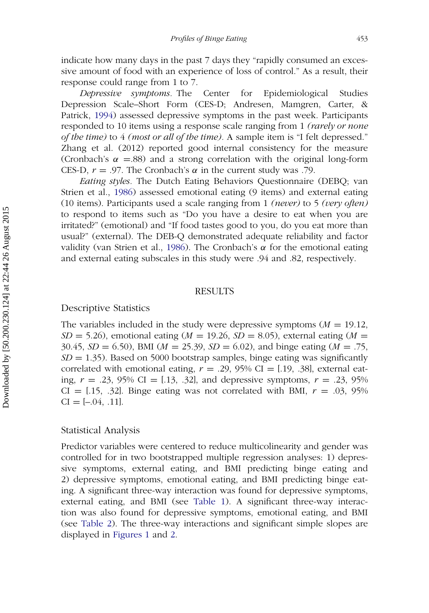indicate how many days in the past 7 days they "rapidly consumed an excessive amount of food with an experience of loss of control." As a result, their response could range from 1 to 7.

*Depressive symptoms.* The Center for Epidemiological Studies Depression Scale–Short Form (CES-D; Andresen, Mamgren, Carter, & Patrick, [1994\)](#page-9-6) assessed depressive symptoms in the past week. Participants responded to 10 items using a response scale ranging from 1 *(rarely or none of the time)* to 4 *(most or all of the time).* A sample item is "I felt depressed." Zhang et al. (2012) reported good internal consistency for the measure (Cronbach's  $\alpha$  =.88) and a strong correlation with the original long-form CES-D,  $r = .97$ . The Cronbach's  $\alpha$  in the current study was .79.

*Eating styles.* The Dutch Eating Behaviors Questionnaire (DEBQ; van Strien et al., [1986\)](#page-10-8) assessed emotional eating (9 items) and external eating (10 items). Participants used a scale ranging from 1 *(never)* to 5 *(very often)* to respond to items such as "Do you have a desire to eat when you are irritated?" (emotional) and "If food tastes good to you, do you eat more than usual?" (external). The DEB-Q demonstrated adequate reliability and factor validity (van Strien et al., [1986\)](#page-10-8). The Cronbach's  $\alpha$  for the emotional eating and external eating subscales in this study were .94 and .82, respectively.

#### RESULTS

# Descriptive Statistics

The variables included in the study were depressive symptoms (*M* = 19.12,  $SD = 5.26$ ), emotional eating (*M* = 19.26, *SD* = 8.05), external eating (*M* = 30.45, *SD* = 6.50), BMI (*M* = 25.39, *SD* = 6.02), and binge eating (*M* = .75,  $SD = 1.35$ ). Based on 5000 bootstrap samples, binge eating was significantly correlated with emotional eating,  $r = .29$ , 95% CI = [.19, .38], external eating, *r* = .23, 95% CI = [.13, .32], and depressive symptoms, *r* = .23, 95%  $CI = [.15, .32]$ . Binge eating was not correlated with BMI,  $r = .03, .95\%$  $CI = [-.04, .11].$ 

#### Statistical Analysis

Predictor variables were centered to reduce multicolinearity and gender was controlled for in two bootstrapped multiple regression analyses: 1) depressive symptoms, external eating, and BMI predicting binge eating and 2) depressive symptoms, emotional eating, and BMI predicting binge eating. A significant three-way interaction was found for depressive symptoms, external eating, and BMI (see [Table 1\)](#page-5-0). A significant three-way interaction was also found for depressive symptoms, emotional eating, and BMI (see [Table 2\)](#page-5-1). The three-way interactions and significant simple slopes are displayed in [Figures 1](#page-6-0) and [2.](#page-6-1)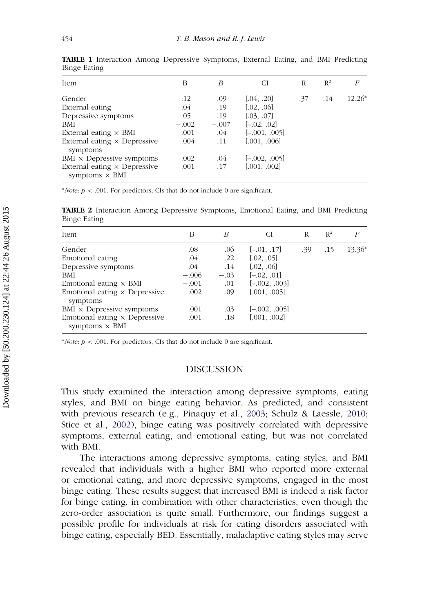<span id="page-5-0"></span>

| Item                                                         | В       | B       | СI              | R   | $R^2$ | F        |
|--------------------------------------------------------------|---------|---------|-----------------|-----|-------|----------|
| Gender                                                       | $.12\,$ | .09     | [.04, .20]      | .37 | .14   | $12.26*$ |
| External eating                                              | .04     | .19     | [.02, .06]      |     |       |          |
| Depressive symptoms                                          | .05     | .19     | [.03, .07]      |     |       |          |
| <b>BMI</b>                                                   | $-.002$ | $-.007$ | $[-.02, .02]$   |     |       |          |
| External eating $\times$ BMI                                 | .001    | .04     | $[-.001, .005]$ |     |       |          |
| External eating $\times$ Depressive<br>symptoms              | .004    | .11     | [.001, .006]    |     |       |          |
| $BMI \times$ Depressive symptoms                             | .002    | .04     | $[-.002, .005]$ |     |       |          |
| External eating $\times$ Depressive<br>symptoms $\times$ BMI | .001    | .17     | [.001, .002]    |     |       |          |

**TABLE 1** Interaction Among Depressive Symptoms, External Eating, and BMI Predicting Binge Eating

<sup>∗</sup>*Note*: *p* < .001. For predictors, CIs that do not include 0 are significant.

**TABLE 2** Interaction Among Depressive Symptoms, Emotional Eating, and BMI Predicting Binge Eating

<span id="page-5-1"></span>

| В       | B      | СI              | R   | $R^2$ | F        |
|---------|--------|-----------------|-----|-------|----------|
| .08     | .06    | $[-.01, .17]$   | .39 | .15   | $13.36*$ |
| .04     | .22    | [.02, .05]      |     |       |          |
| .04     | .14    | [.02, .06]      |     |       |          |
| $-.006$ | $-.03$ | $[-.02, .01]$   |     |       |          |
| $-.001$ | .01    | $[-.002, .003]$ |     |       |          |
| .002    | .09    | [.001, .005]    |     |       |          |
| .001    | .03    | $[-.002, .005]$ |     |       |          |
| .001    | .18    | [.001, .002]    |     |       |          |
|         |        |                 |     |       |          |

<sup>∗</sup>*Note*: *p* < .001. For predictors, CIs that do not include 0 are significant.

# DISCUSSION

This study examined the interaction among depressive symptoms, eating styles, and BMI on binge eating behavior. As predicted, and consistent with previous research (e.g., Pinaquy et al., [2003;](#page-10-0) Schulz & Laessle, [2010;](#page-10-1) Stice et al., [2002\)](#page-10-2), binge eating was positively correlated with depressive symptoms, external eating, and emotional eating, but was not correlated with BMI.

The interactions among depressive symptoms, eating styles, and BMI revealed that individuals with a higher BMI who reported more external or emotional eating, and more depressive symptoms, engaged in the most binge eating. These results suggest that increased BMI is indeed a risk factor for binge eating, in combination with other characteristics, even though the zero-order association is quite small. Furthermore, our findings suggest a possible profile for individuals at risk for eating disorders associated with binge eating, especially BED. Essentially, maladaptive eating styles may serve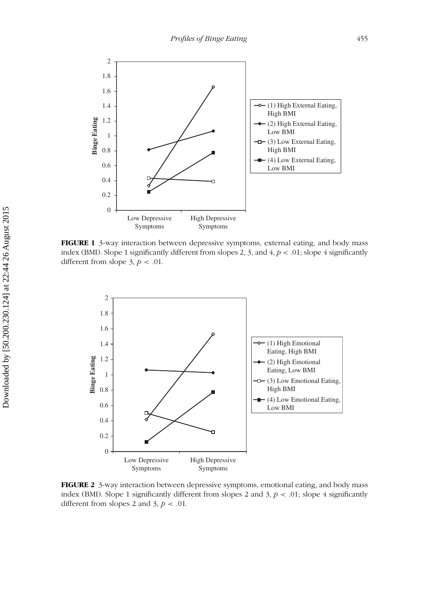<span id="page-6-0"></span>

**FIGURE 1** 3-way interaction between depressive symptoms, external eating, and body mass index (BMI). Slope 1 significantly different from slopes 2, 3, and 4, *p* < .01; slope 4 significantly different from slope 3,  $p < .01$ .

<span id="page-6-1"></span>

**FIGURE 2** 3-way interaction between depressive symptoms, emotional eating, and body mass index (BMI). Slope 1 significantly different from slopes 2 and 3,  $p < .01$ ; slope 4 significantly different from slopes 2 and 3,  $p < .01$ .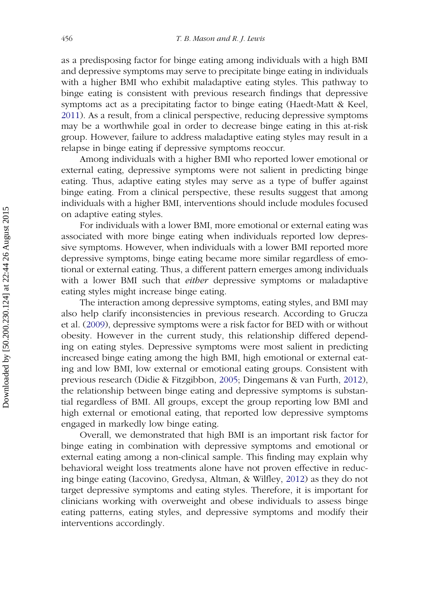as a predisposing factor for binge eating among individuals with a high BMI and depressive symptoms may serve to precipitate binge eating in individuals with a higher BMI who exhibit maladaptive eating styles. This pathway to binge eating is consistent with previous research findings that depressive symptoms act as a precipitating factor to binge eating (Haedt-Matt & Keel, [2011\)](#page-10-10). As a result, from a clinical perspective, reducing depressive symptoms may be a worthwhile goal in order to decrease binge eating in this at-risk group. However, failure to address maladaptive eating styles may result in a relapse in binge eating if depressive symptoms reoccur.

Among individuals with a higher BMI who reported lower emotional or external eating, depressive symptoms were not salient in predicting binge eating. Thus, adaptive eating styles may serve as a type of buffer against binge eating. From a clinical perspective, these results suggest that among individuals with a higher BMI, interventions should include modules focused on adaptive eating styles.

For individuals with a lower BMI, more emotional or external eating was associated with more binge eating when individuals reported low depressive symptoms. However, when individuals with a lower BMI reported more depressive symptoms, binge eating became more similar regardless of emotional or external eating. Thus, a different pattern emerges among individuals with a lower BMI such that *either* depressive symptoms or maladaptive eating styles might increase binge eating.

The interaction among depressive symptoms, eating styles, and BMI may also help clarify inconsistencies in previous research. According to Grucza et al. [\(2009\)](#page-10-5), depressive symptoms were a risk factor for BED with or without obesity. However in the current study, this relationship differed depending on eating styles. Depressive symptoms were most salient in predicting increased binge eating among the high BMI, high emotional or external eating and low BMI, low external or emotional eating groups. Consistent with previous research (Didie & Fitzgibbon, [2005;](#page-10-6) Dingemans & van Furth, [2012\)](#page-10-7), the relationship between binge eating and depressive symptoms is substantial regardless of BMI. All groups, except the group reporting low BMI and high external or emotional eating, that reported low depressive symptoms engaged in markedly low binge eating.

Overall, we demonstrated that high BMI is an important risk factor for binge eating in combination with depressive symptoms and emotional or external eating among a non-clinical sample. This finding may explain why behavioral weight loss treatments alone have not proven effective in reducing binge eating (Iacovino, Gredysa, Altman, & Wilfley, [2012\)](#page-10-11) as they do not target depressive symptoms and eating styles. Therefore, it is important for clinicians working with overweight and obese individuals to assess binge eating patterns, eating styles, and depressive symptoms and modify their interventions accordingly.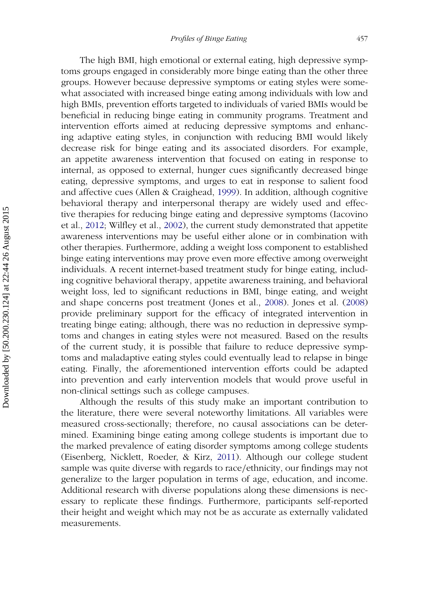The high BMI, high emotional or external eating, high depressive symptoms groups engaged in considerably more binge eating than the other three groups. However because depressive symptoms or eating styles were somewhat associated with increased binge eating among individuals with low and high BMIs, prevention efforts targeted to individuals of varied BMIs would be beneficial in reducing binge eating in community programs. Treatment and intervention efforts aimed at reducing depressive symptoms and enhancing adaptive eating styles, in conjunction with reducing BMI would likely decrease risk for binge eating and its associated disorders. For example, an appetite awareness intervention that focused on eating in response to internal, as opposed to external, hunger cues significantly decreased binge eating, depressive symptoms, and urges to eat in response to salient food and affective cues (Allen & Craighead, [1999\)](#page-9-7). In addition, although cognitive behavioral therapy and interpersonal therapy are widely used and effective therapies for reducing binge eating and depressive symptoms (Iacovino et al., [2012;](#page-10-11) Wilfley et al., [2002\)](#page-11-0), the current study demonstrated that appetite awareness interventions may be useful either alone or in combination with other therapies. Furthermore, adding a weight loss component to established binge eating interventions may prove even more effective among overweight individuals. A recent internet-based treatment study for binge eating, including cognitive behavioral therapy, appetite awareness training, and behavioral weight loss, led to significant reductions in BMI, binge eating, and weight and shape concerns post treatment (Jones et al., [2008\)](#page-10-12). Jones et al. [\(2008\)](#page-10-12) provide preliminary support for the efficacy of integrated intervention in treating binge eating; although, there was no reduction in depressive symptoms and changes in eating styles were not measured. Based on the results of the current study, it is possible that failure to reduce depressive symptoms and maladaptive eating styles could eventually lead to relapse in binge eating. Finally, the aforementioned intervention efforts could be adapted into prevention and early intervention models that would prove useful in non-clinical settings such as college campuses.

Although the results of this study make an important contribution to the literature, there were several noteworthy limitations. All variables were measured cross-sectionally; therefore, no causal associations can be determined. Examining binge eating among college students is important due to the marked prevalence of eating disorder symptoms among college students (Eisenberg, Nicklett, Roeder, & Kirz, [2011\)](#page-10-13). Although our college student sample was quite diverse with regards to race/ethnicity, our findings may not generalize to the larger population in terms of age, education, and income. Additional research with diverse populations along these dimensions is necessary to replicate these findings. Furthermore, participants self-reported their height and weight which may not be as accurate as externally validated measurements.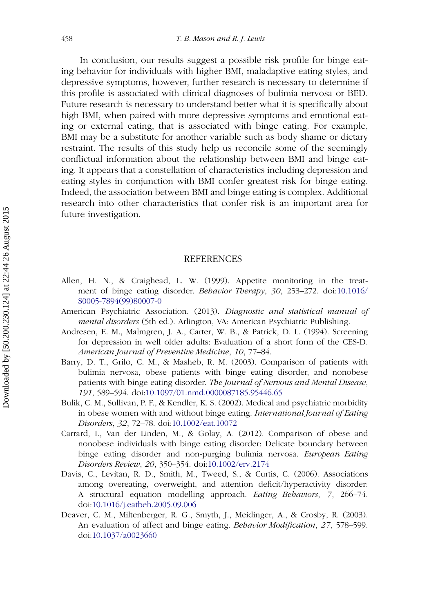In conclusion, our results suggest a possible risk profile for binge eating behavior for individuals with higher BMI, maladaptive eating styles, and depressive symptoms, however, further research is necessary to determine if this profile is associated with clinical diagnoses of bulimia nervosa or BED. Future research is necessary to understand better what it is specifically about high BMI, when paired with more depressive symptoms and emotional eating or external eating, that is associated with binge eating. For example, BMI may be a substitute for another variable such as body shame or dietary restraint. The results of this study help us reconcile some of the seemingly conflictual information about the relationship between BMI and binge eating. It appears that a constellation of characteristics including depression and eating styles in conjunction with BMI confer greatest risk for binge eating. Indeed, the association between BMI and binge eating is complex. Additional research into other characteristics that confer risk is an important area for future investigation.

#### REFERENCES

- <span id="page-9-7"></span>Allen, H. N., & Craighead, L. W. (1999). Appetite monitoring in the treatment of binge eating disorder. *[Behavior](http://dx.doi.org/10.1016/\gdef yes{no}\penalty \z@ \gdef \ {\penalty \z@ }\gdef no{no}\gdef yes{yes}\gdef \ \gdef \ {\ }\gdef no{no}\gdef yes{yes}{\penalty \z@ \gdef \ {\penalty \z@ }\gdef no{no}\gdef yes{yes}}S0005-7894(99)80007-0) [Therapy](http://dx.doi.org/10.1016/\gdef yes{no}\penalty \z@ \gdef \ {\penalty \z@ }\gdef no{no}\gdef yes{yes}\gdef \ \gdef \ {\ }\gdef no{no}\gdef yes{yes}{\penalty \z@ \gdef \ {\penalty \z@ }\gdef no{no}\gdef yes{yes}}S0005-7894(99)80007-0)*, *30*, 253–272. doi:10.1016/ S0005-7894(99)80007-0
- <span id="page-9-0"></span>American Psychiatric Association. (2013). *Diagnostic and statistical manual of mental disorders* (5th ed.). Arlington, VA: American Psychiatric Publishing.
- <span id="page-9-6"></span>Andresen, E. M., Malmgren, J. A., Carter, W. B., & Patrick, D. L. (1994). Screening for depression in well older adults: Evaluation of a short form of the CES-D. *American Journal of Preventive Medicine*, *10*, 77–84.
- <span id="page-9-3"></span>Barry, D. T., Grilo, C. M., & Masheb, R. M. (2003). Comparison of patients with bulimia nervosa, obese patients with binge eating disorder, and nonobese patients with binge eating disorder. *The Journal of Nervous and Mental Disease*, *191*, 589–594. doi[:10.1097/01.nmd.0000087185.95446.65](http://dx.doi.org/10.1097/01.nmd.0000087185.95446.65)
- <span id="page-9-2"></span>Bulik, C. M., Sullivan, P. F., & Kendler, K. S. (2002). Medical and psychiatric morbidity in obese women with and without binge eating. *International Journal of Eating Disorders*, *32*, 72–78. doi[:10.1002/eat.10072](http://dx.doi.org/10.1002/eat.10072)
- <span id="page-9-1"></span>Carrard, I., Van der Linden, M., & Golay, A. (2012). Comparison of obese and nonobese individuals with binge eating disorder: Delicate boundary between binge eating disorder and non-purging bulimia nervosa. *European Eating Disorders Review*, *20*, 350–354. doi[:10.1002/erv.2174](http://dx.doi.org/10.1002/erv.2174)
- <span id="page-9-4"></span>Davis, C., Levitan, R. D., Smith, M., Tweed, S., & Curtis, C. (2006). Associations among overeating, overweight, and attention deficit/hyperactivity disorder: A structural equation modelling approach. *Eating Behaviors*, *7*, 266–74. doi[:10.1016/j.eatbeh.2005.09.006](http://dx.doi.org/10.1016/j.eatbeh.2005.09.006)
- <span id="page-9-5"></span>Deaver, C. M., Miltenberger, R. G., Smyth, J., Meidinger, A., & Crosby, R. (2003). An evaluation of affect and binge eating. *Behavior Modification*, *27*, 578–599. doi[:10.1037/a0023660](http://dx.doi.org/10.1037/a0023660)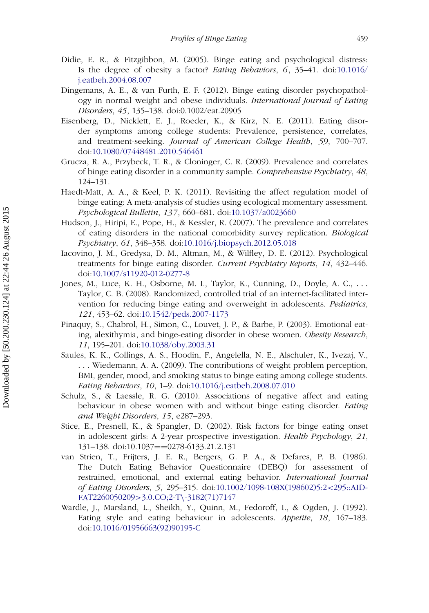- <span id="page-10-6"></span>Didie, E. R., & Fitzgibbon, M. (2005). Binge eating and psychological distress: Is the degree of obesity a factor? *Eating Behaviors*, *6*, 35–41. doi:10.1016/ j.eatbeh.2004.08.007
- <span id="page-10-7"></span>Dingemans, A. E., & van Furth, E. F. (2012). Binge eating disorder psychopathology in normal weight and obese individuals. *International Journal of Eating Disorders*, *45*, 135–138. doi:0.1002/eat.20905
- <span id="page-10-13"></span>Eisenberg, D., Nicklett, E. J., Roeder, K., & Kirz, N. E. (2011). Eating disorder symptoms among college students: Prevalence, persistence, correlates, and treatment-seeking. *Journal of American College Health*, *59*, 700–707. doi[:10.1080/07448481.2010.546461](http://dx.doi.org/10.1080/07448481.2010.546461)
- <span id="page-10-5"></span>Grucza, R. A., Przybeck, T. R., & Cloninger, C. R. (2009). Prevalence and correlates of binge eating disorder in a community sample. *Comprehensive Psychiatry*, *48*, 124–131.
- <span id="page-10-10"></span>Haedt-Matt, A. A., & Keel, P. K. (2011). Revisiting the affect regulation model of binge eating: A meta-analysis of studies using ecological momentary assessment. *Psychological Bulletin*, *137*, 660–681. doi[:10.1037/a0023660](http://dx.doi.org/10.1037/a0023660)
- <span id="page-10-4"></span>Hudson, J., Hiripi, E., Pope, H., & Kessler, R. (2007). The prevalence and correlates of eating disorders in the national comorbidity survey replication. *Biological Psychiatry*, *61*, 348–358. doi[:10.1016/j.biopsych.2012.05.018](http://dx.doi.org/10.1016/j.biopsych.2012.05.018)
- <span id="page-10-11"></span>Iacovino, J. M., Gredysa, D. M., Altman, M., & Wilfley, D. E. (2012). Psychological treatments for binge eating disorder. *Current Psychiatry Reports*, *14*, 432–446. doi[:10.1007/s11920-012-0277-8](http://dx.doi.org/10.1007/s11920-012-0277-8)
- <span id="page-10-12"></span>Jones, M., Luce, K. H., Osborne, M. I., Taylor, K., Cunning, D., Doyle, A. C., ... Taylor, C. B. (2008). Randomized, controlled trial of an internet-facilitated intervention for reducing binge eating and overweight in adolescents. *Pediatrics*, *121*, 453–62. doi[:10.1542/peds.2007-1173](http://dx.doi.org/10.1542/peds.2007-1173)
- <span id="page-10-0"></span>Pinaquy, S., Chabrol, H., Simon, C., Louvet, J. P., & Barbe, P. (2003). Emotional eating, alexithymia, and binge-eating disorder in obese women. *Obesity Research*, *11*, 195–201. doi[:10.1038/oby.2003.31](http://dx.doi.org/10.1038/oby.2003.31)
- <span id="page-10-3"></span>Saules, K. K., Collings, A. S., Hoodin, F., Angelella, N. E., Alschuler, K., Ivezaj, V., ... Wiedemann, A. A. (2009). The contributions of weight problem perception, BMI, gender, mood, and smoking status to binge eating among college students. *Eating Behaviors*, *10*, 1–9. doi[:10.1016/j.eatbeh.2008.07.010](http://dx.doi.org/10.1016/j.eatbeh.2008.07.010)
- <span id="page-10-1"></span>Schulz, S., & Laessle, R. G. (2010). Associations of negative affect and eating behaviour in obese women with and without binge eating disorder. *Eating and Weight Disorders*, *15*, e287–293.
- <span id="page-10-2"></span>Stice, E., Presnell, K., & Spangler, D. (2002). Risk factors for binge eating onset in adolescent girls: A 2-year prospective investigation. *Health Psychology*, *21*, 131–138. doi:10.1037==0278-6133.21.2.131
- <span id="page-10-8"></span>van Strien, T., Frijters, J. E. R., Bergers, G. P. A., & Defares, P. B. (1986). The Dutch Eating Behavior Questionnaire (DEBQ) for assessment of restrained, emotional, and external eating behavior. *International Journal of Eating Disorders*, *5*, 295–315. doi:10.1002/1098-108X(198602)5:2<295::AID-EAT2260050209>3.0.CO;2-T\-3182(71)7147
- <span id="page-10-9"></span>Wardle, J., Marsland, L., Sheikh, Y., Quinn, M., Fedoroff, I., & Ogden, J. (1992). Eating style and eating behaviour in adolescents. *Appetite*, *18*, 167–183. doi[:10.1016/01956663\(92\)90195-C](http://dx.doi.org/10.1016/01956663(92)90195-C)